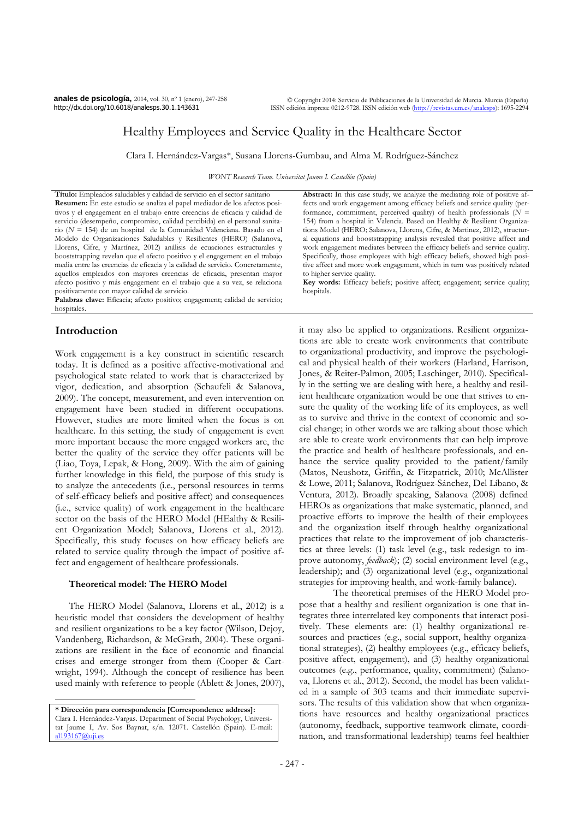**anales de psicología,** 2014, vol. 30, nº 1 (enero), 247-258 http://dx.doi.org/10.6018/analesps.30.1.143631

© Copyright 2014: Servicio de Publicaciones de la Universidad de Murcia. Murcia (España) ISSN edición impresa: 0212-9728. ISSN edición web (http://revistas.um.es/analesps): 1695-2294

# Healthy Employees and Service Quality in the Healthcare Sector

Clara I. Hernández-Vargas\*, Susana Llorens-Gumbau, and Alma M. Rodríguez-Sánchez

*WONT Research Team. Universitat Jaume I. Castellón (Spain)*

**Título:** Empleados saludables y calidad de servicio en el sector sanitario **Resumen:** En este estudio se analiza el papel mediador de los afectos positivos y el engagement en el trabajo entre creencias de eficacia y calidad de servicio (desempeño, compromiso, calidad percibida) en el personal sanitario (*N* = 154) de un hospital de la Comunidad Valenciana. Basado en el Modelo de Organizaciones Saludables y Resilientes (HERO) (Salanova, Llorens, Cifre, y Martínez, 2012) análisis de ecuaciones estructurales y booststrapping revelan que el afecto positivo y el engagement en el trabajo media entre las creencias de eficacia y la calidad de servicio. Concretamente, aquellos empleados con mayores creencias de eficacia, presentan mayor afecto positivo y más engagement en el trabajo que a su vez, se relaciona positivamente con mayor calidad de servicio.

**Palabras clave:** Eficacia; afecto positivo; engagement; calidad de servicio; hospitales.

## **Introduction**

 $\overline{a}$ 

Work engagement is a key construct in scientific research today. It is defined as a positive affective-motivational and psychological state related to work that is characterized by vigor, dedication, and absorption (Schaufeli & Salanova, 2009). The concept, measurement, and even intervention on engagement have been studied in different occupations. However, studies are more limited when the focus is on healthcare. In this setting, the study of engagement is even more important because the more engaged workers are, the better the quality of the service they offer patients will be (Liao, Toya, Lepak, & Hong, 2009). With the aim of gaining further knowledge in this field, the purpose of this study is to analyze the antecedents (i.e., personal resources in terms of self-efficacy beliefs and positive affect) and consequences (i.e., service quality) of work engagement in the healthcare sector on the basis of the HERO Model (HEalthy & Resilient Organization Model; Salanova, Llorens et al., 2012). Specifically, this study focuses on how efficacy beliefs are related to service quality through the impact of positive affect and engagement of healthcare professionals.

## **Theoretical model: The HERO Model**

The HERO Model (Salanova, Llorens et al., 2012) is a heuristic model that considers the development of healthy and resilient organizations to be a key factor (Wilson, Dejoy, Vandenberg, Richardson, & McGrath, 2004). These organizations are resilient in the face of economic and financial crises and emerge stronger from them (Cooper & Cartwright, 1994). Although the concept of resilience has been used mainly with reference to people (Ablett & Jones, 2007),

**\* Dirección para correspondencia [Correspondence address]:**  Clara I. Hernández-Vargas. Department of Social Psychology, Universitat Jaume I, Av. Sos Baynat, s/n. 12071. Castellón (Spain). E-mail: al193167@uji.e

**Abstract:** In this case study, we analyze the mediating role of positive affects and work engagement among efficacy beliefs and service quality (performance, commitment, perceived quality) of health professionals (*N* = 154) from a hospital in Valencia. Based on Healthy & Resilient Organizations Model (HERO; Salanova, Llorens, Cifre, & Martinez, 2012), structural equations and booststrapping analysis revealed that positive affect and work engagement mediates between the efficacy beliefs and service quality. Specifically, those employees with high efficacy beliefs, showed high positive affect and more work engagement, which in turn was positively related to higher service quality.

**Key words:** Efficacy beliefs; positive affect; engagement; service quality; hospitals.

it may also be applied to organizations. Resilient organizations are able to create work environments that contribute to organizational productivity, and improve the psychological and physical health of their workers (Harland, Harrison, Jones, & Reiter-Palmon, 2005; Laschinger, 2010). Specifically in the setting we are dealing with here, a healthy and resilient healthcare organization would be one that strives to ensure the quality of the working life of its employees, as well as to survive and thrive in the context of economic and social change; in other words we are talking about those which are able to create work environments that can help improve the practice and health of healthcare professionals, and enhance the service quality provided to the patient/family (Matos, Neushotz, Griffin, & Fitzpatrick, 2010; McAllister & Lowe, 2011; Salanova, Rodríguez-Sánchez, Del Líbano, & Ventura, 2012). Broadly speaking, Salanova (2008) defined HEROs as organizations that make systematic, planned, and proactive efforts to improve the health of their employees and the organization itself through healthy organizational practices that relate to the improvement of job characteristics at three levels: (1) task level (e.g., task redesign to improve autonomy, *feedback*); (2) social environment level (e.g., leadership); and (3) organizational level (e.g., organizational strategies for improving health, and work-family balance).

The theoretical premises of the HERO Model propose that a healthy and resilient organization is one that integrates three interrelated key components that interact positively. These elements are: (1) healthy organizational resources and practices (e.g., social support, healthy organizational strategies), (2) healthy employees (e.g., efficacy beliefs, positive affect, engagement), and (3) healthy organizational outcomes (e.g., performance, quality, commitment) (Salanova, Llorens et al., 2012). Second, the model has been validated in a sample of 303 teams and their immediate supervisors. The results of this validation show that when organizations have resources and healthy organizational practices (autonomy, feedback, supportive teamwork climate, coordination, and transformational leadership) teams feel healthier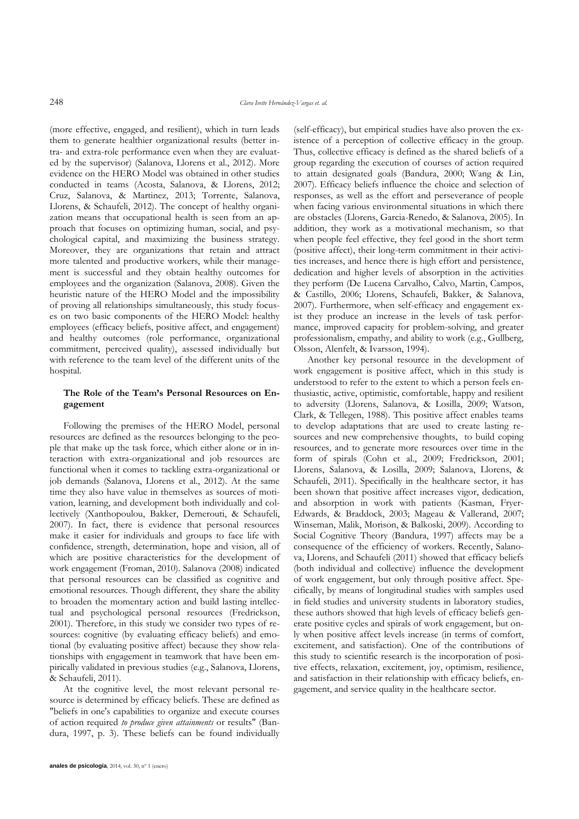(more effective, engaged, and resilient), which in turn leads them to generate healthier organizational results (better intra- and extra-role performance even when they are evaluated by the supervisor) (Salanova, Llorens et al., 2012). More evidence on the HERO Model was obtained in other studies conducted in teams (Acosta, Salanova, & Llorens, 2012; Cruz, Salanova, & Martinez, 2013; Torrente, Salanova, Llorens, & Schaufeli, 2012). The concept of healthy organization means that occupational health is seen from an approach that focuses on optimizing human, social, and psychological capital, and maximizing the business strategy. Moreover, they are organizations that retain and attract more talented and productive workers, while their management is successful and they obtain healthy outcomes for employees and the organization (Salanova, 2008). Given the heuristic nature of the HERO Model and the impossibility of proving all relationships simultaneously, this study focuses on two basic components of the HERO Model: healthy employees (efficacy beliefs, positive affect, and engagement) and healthy outcomes (role performance, organizational commitment, perceived quality), assessed individually but with reference to the team level of the different units of the hospital.

## **The Role of the Team's Personal Resources on Engagement**

Following the premises of the HERO Model, personal resources are defined as the resources belonging to the people that make up the task force, which either alone or in interaction with extra-organizational and job resources are functional when it comes to tackling extra-organizational or job demands (Salanova, Llorens et al., 2012). At the same time they also have value in themselves as sources of motivation, learning, and development both individually and collectively (Xanthopoulou, Bakker, Demerouti, & Schaufeli, 2007). In fact, there is evidence that personal resources make it easier for individuals and groups to face life with confidence, strength, determination, hope and vision, all of which are positive characteristics for the development of work engagement (Froman, 2010). Salanova (2008) indicated that personal resources can be classified as cognitive and emotional resources. Though different, they share the ability to broaden the momentary action and build lasting intellectual and psychological personal resources (Fredrickson, 2001). Therefore, in this study we consider two types of resources: cognitive (by evaluating efficacy beliefs) and emotional (by evaluating positive affect) because they show relationships with engagement in teamwork that have been empirically validated in previous studies (e.g., Salanova, Llorens, & Schaufeli, 2011).

At the cognitive level, the most relevant personal resource is determined by efficacy beliefs. These are defined as "beliefs in one's capabilities to organize and execute courses of action required *to produce given attainments* or results" (Bandura, 1997, p. 3). These beliefs can be found individually (self-efficacy), but empirical studies have also proven the existence of a perception of collective efficacy in the group. Thus, collective efficacy is defined as the shared beliefs of a group regarding the execution of courses of action required to attain designated goals (Bandura, 2000; Wang & Lin, 2007). Efficacy beliefs influence the choice and selection of responses, as well as the effort and perseverance of people when facing various environmental situations in which there are obstacles (Llorens, Garcia-Renedo, & Salanova, 2005). In addition, they work as a motivational mechanism, so that when people feel effective, they feel good in the short term (positive affect), their long-term commitment in their activities increases, and hence there is high effort and persistence, dedication and higher levels of absorption in the activities they perform (De Lucena Carvalho, Calvo, Martin, Campos, & Castillo, 2006; Llorens, Schaufeli, Bakker, & Salanova, 2007). Furthermore, when self-efficacy and engagement exist they produce an increase in the levels of task performance, improved capacity for problem-solving, and greater professionalism, empathy, and ability to work (e.g., Gullberg, Olsson, Alenfelt, & Ivarsson, 1994).

Another key personal resource in the development of work engagement is positive affect, which in this study is understood to refer to the extent to which a person feels enthusiastic, active, optimistic, comfortable, happy and resilient to adversity (Llorens, Salanova, & Losilla, 2009; Watson, Clark, & Tellegen, 1988). This positive affect enables teams to develop adaptations that are used to create lasting resources and new comprehensive thoughts, to build coping resources, and to generate more resources over time in the form of spirals (Cohn et al., 2009; Fredrickson, 2001; Llorens, Salanova, & Losilla, 2009; Salanova, Llorens, & Schaufeli, 2011). Specifically in the healthcare sector, it has been shown that positive affect increases vigor, dedication, and absorption in work with patients (Kasman, Fryer-Edwards, & Braddock, 2003; Mageau & Vallerand, 2007; Winseman, Malik, Morison, & Balkoski, 2009). According to Social Cognitive Theory (Bandura, 1997) affects may be a consequence of the efficiency of workers. Recently, Salanova, Llorens, and Schaufeli (2011) showed that efficacy beliefs (both individual and collective) influence the development of work engagement, but only through positive affect. Specifically, by means of longitudinal studies with samples used in field studies and university students in laboratory studies, these authors showed that high levels of efficacy beliefs generate positive cycles and spirals of work engagement, but only when positive affect levels increase (in terms of comfort, excitement, and satisfaction). One of the contributions of this study to scientific research is the incorporation of positive effects, relaxation, excitement, joy, optimism, resilience, and satisfaction in their relationship with efficacy beliefs, engagement, and service quality in the healthcare sector.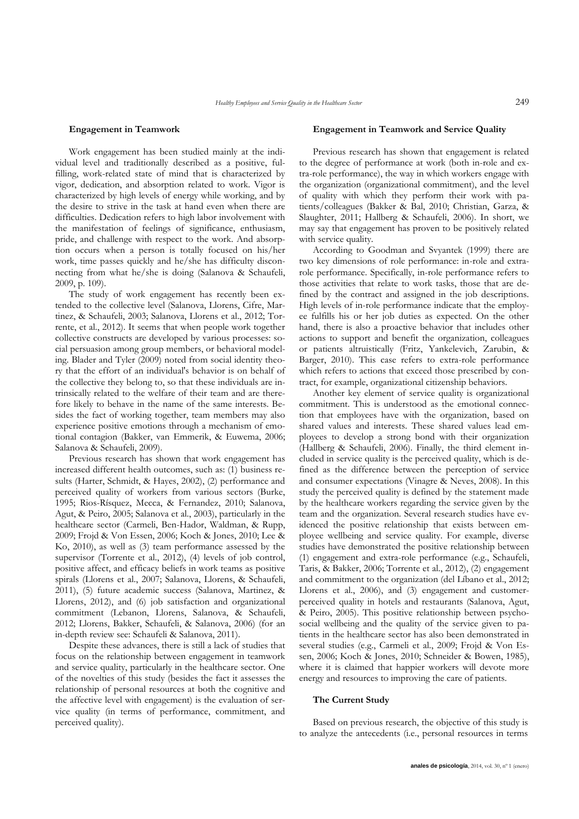#### **Engagement in Teamwork**

#### **Engagement in Teamwork and Service Quality**

Work engagement has been studied mainly at the individual level and traditionally described as a positive, fulfilling, work-related state of mind that is characterized by vigor, dedication, and absorption related to work. Vigor is characterized by high levels of energy while working, and by the desire to strive in the task at hand even when there are difficulties. Dedication refers to high labor involvement with the manifestation of feelings of significance, enthusiasm, pride, and challenge with respect to the work. And absorption occurs when a person is totally focused on his/her work, time passes quickly and he/she has difficulty disconnecting from what he/she is doing (Salanova & Schaufeli, 2009, p. 109).

The study of work engagement has recently been extended to the collective level (Salanova, Llorens, Cifre, Martinez, & Schaufeli, 2003; Salanova, Llorens et al., 2012; Torrente, et al., 2012). It seems that when people work together collective constructs are developed by various processes: social persuasion among group members, or behavioral modeling. Blader and Tyler (2009) noted from social identity theory that the effort of an individual's behavior is on behalf of the collective they belong to, so that these individuals are intrinsically related to the welfare of their team and are therefore likely to behave in the name of the same interests. Besides the fact of working together, team members may also experience positive emotions through a mechanism of emotional contagion (Bakker, van Emmerik, & Euwema, 2006; Salanova & Schaufeli, 2009).

Previous research has shown that work engagement has increased different health outcomes, such as: (1) business results (Harter, Schmidt, & Hayes, 2002), (2) performance and perceived quality of workers from various sectors (Burke, 1995; Rios-Rísquez, Mecca, & Fernandez, 2010; Salanova, Agut, & Peiro, 2005; Salanova et al., 2003), particularly in the healthcare sector (Carmeli, Ben-Hador, Waldman, & Rupp, 2009; Frojd & Von Essen, 2006; Koch & Jones, 2010; Lee & Ko, 2010), as well as (3) team performance assessed by the supervisor (Torrente et al., 2012), (4) levels of job control, positive affect, and efficacy beliefs in work teams as positive spirals (Llorens et al., 2007; Salanova, Llorens, & Schaufeli, 2011), (5) future academic success (Salanova, Martinez, & Llorens, 2012), and (6) job satisfaction and organizational commitment (Lebanon, Llorens, Salanova, & Schaufeli, 2012; Llorens, Bakker, Schaufeli, & Salanova, 2006) (for an in-depth review see: Schaufeli & Salanova, 2011).

Despite these advances, there is still a lack of studies that focus on the relationship between engagement in teamwork and service quality, particularly in the healthcare sector. One of the novelties of this study (besides the fact it assesses the relationship of personal resources at both the cognitive and the affective level with engagement) is the evaluation of service quality (in terms of performance, commitment, and perceived quality).

Previous research has shown that engagement is related to the degree of performance at work (both in-role and extra-role performance), the way in which workers engage with the organization (organizational commitment), and the level of quality with which they perform their work with patients/colleagues (Bakker & Bal, 2010; Christian, Garza, & Slaughter, 2011; Hallberg & Schaufeli, 2006). In short, we may say that engagement has proven to be positively related with service quality.

According to Goodman and Svyantek (1999) there are two key dimensions of role performance: in-role and extrarole performance. Specifically, in-role performance refers to those activities that relate to work tasks, those that are defined by the contract and assigned in the job descriptions. High levels of in-role performance indicate that the employee fulfills his or her job duties as expected. On the other hand, there is also a proactive behavior that includes other actions to support and benefit the organization, colleagues or patients altruistically (Fritz, Yankelevich, Zarubin, & Barger, 2010). This case refers to extra-role performance which refers to actions that exceed those prescribed by contract, for example, organizational citizenship behaviors.

Another key element of service quality is organizational commitment. This is understood as the emotional connection that employees have with the organization, based on shared values and interests. These shared values lead employees to develop a strong bond with their organization (Hallberg & Schaufeli, 2006). Finally, the third element included in service quality is the perceived quality, which is defined as the difference between the perception of service and consumer expectations (Vinagre & Neves, 2008). In this study the perceived quality is defined by the statement made by the healthcare workers regarding the service given by the team and the organization. Several research studies have evidenced the positive relationship that exists between employee wellbeing and service quality. For example, diverse studies have demonstrated the positive relationship between (1) engagement and extra-role performance (e.g., Schaufeli, Taris, & Bakker, 2006; Torrente et al., 2012), (2) engagement and commitment to the organization (del Líbano et al., 2012; Llorens et al., 2006), and (3) engagement and customerperceived quality in hotels and restaurants (Salanova, Agut, & Peiro, 2005). This positive relationship between psychosocial wellbeing and the quality of the service given to patients in the healthcare sector has also been demonstrated in several studies (e.g., Carmeli et al., 2009; Frojd & Von Essen, 2006; Koch & Jones, 2010; Schneider & Bowen, 1985), where it is claimed that happier workers will devote more energy and resources to improving the care of patients.

## **The Current Study**

Based on previous research, the objective of this study is to analyze the antecedents (i.e., personal resources in terms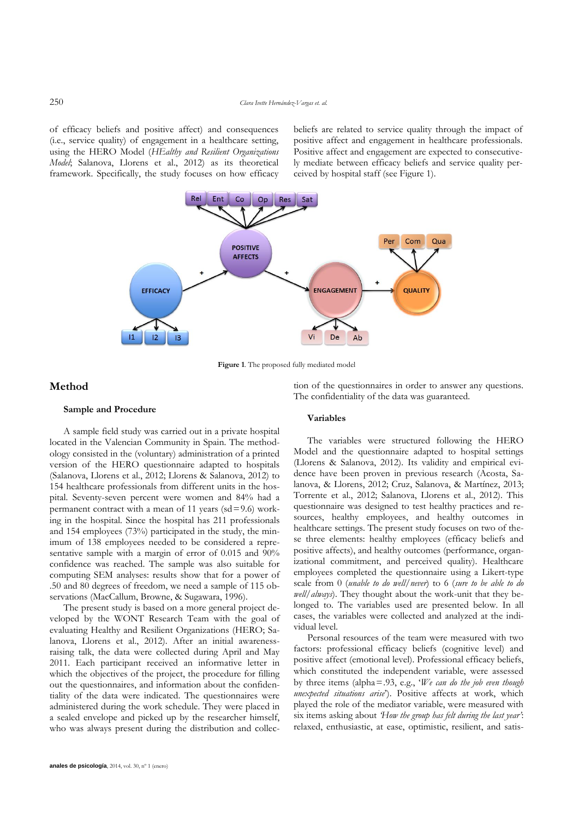of efficacy beliefs and positive affect) and consequences (i.e., service quality) of engagement in a healthcare setting, using the HERO Model (*HEalthy and Resilient Organizations Model*; Salanova, Llorens et al., 2012) as its theoretical framework. Specifically, the study focuses on how efficacy beliefs are related to service quality through the impact of positive affect and engagement in healthcare professionals. Positive affect and engagement are expected to consecutively mediate between efficacy beliefs and service quality perceived by hospital staff (see Figure 1).



**Figure 1***.* The proposed fully mediated model

## **Method**

### **Sample and Procedure**

A sample field study was carried out in a private hospital located in the Valencian Community in Spain. The methodology consisted in the (voluntary) administration of a printed version of the HERO questionnaire adapted to hospitals (Salanova, Llorens et al., 2012; Llorens & Salanova, 2012) to 154 healthcare professionals from different units in the hospital. Seventy-seven percent were women and 84% had a permanent contract with a mean of 11 years (sd=9.6) working in the hospital. Since the hospital has 211 professionals and 154 employees (73%) participated in the study, the minimum of 138 employees needed to be considered a representative sample with a margin of error of 0.015 and 90% confidence was reached. The sample was also suitable for computing SEM analyses: results show that for a power of .50 and 80 degrees of freedom, we need a sample of 115 observations (MacCallum, Browne, & Sugawara, 1996).

The present study is based on a more general project developed by the WONT Research Team with the goal of evaluating Healthy and Resilient Organizations (HERO; Salanova, Llorens et al., 2012). After an initial awarenessraising talk, the data were collected during April and May 2011. Each participant received an informative letter in which the objectives of the project, the procedure for filling out the questionnaires, and information about the confidentiality of the data were indicated. The questionnaires were administered during the work schedule. They were placed in a sealed envelope and picked up by the researcher himself, who was always present during the distribution and collec-

#### **Variables**

The variables were structured following the HERO Model and the questionnaire adapted to hospital settings (Llorens & Salanova, 2012). Its validity and empirical evidence have been proven in previous research (Acosta, Salanova, & Llorens, 2012; Cruz, Salanova, & Martínez, 2013; Torrente et al., 2012; Salanova, Llorens et al., 2012). This questionnaire was designed to test healthy practices and resources, healthy employees, and healthy outcomes in healthcare settings. The present study focuses on two of these three elements: healthy employees (efficacy beliefs and positive affects), and healthy outcomes (performance, organizational commitment, and perceived quality). Healthcare employees completed the questionnaire using a Likert-type scale from 0 (*unable to do well/never*) to 6 (*sure to be able to do well/always*). They thought about the work-unit that they belonged to. The variables used are presented below. In all cases, the variables were collected and analyzed at the individual level.

tion of the questionnaires in order to answer any questions.

The confidentiality of the data was guaranteed.

Personal resources of the team were measured with two factors: professional efficacy beliefs (cognitive level) and positive affect (emotional level). Professional efficacy beliefs, which constituted the independent variable, were assessed by three items (alpha=.93, e.g., "*We can do the job even though unexpected situations arise*"). Positive affects at work, which played the role of the mediator variable, were measured with six items asking about *'How the group has felt during the last year'*: relaxed, enthusiastic, at ease, optimistic, resilient, and satis-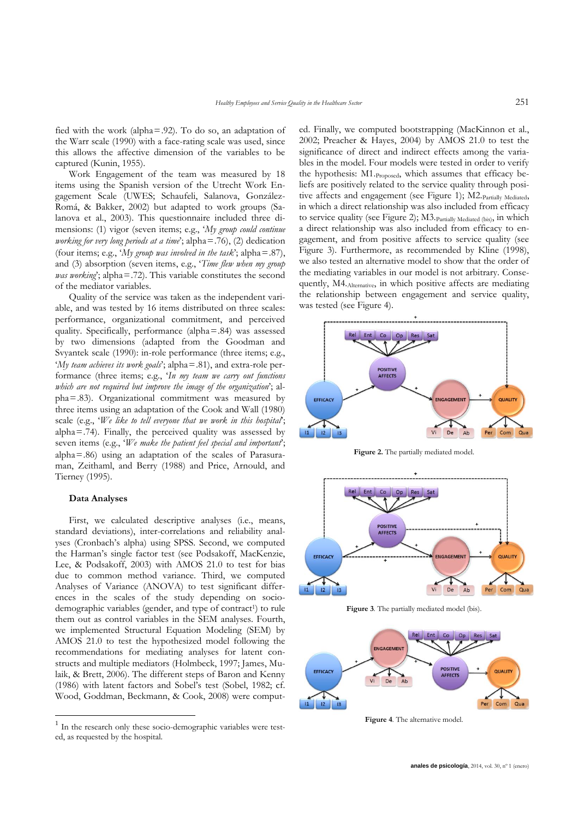fied with the work (alpha=.92). To do so, an adaptation of the Warr scale (1990) with a face-rating scale was used, since this allows the affective dimension of the variables to be captured (Kunin, 1955).

Work Engagement of the team was measured by 18 items using the Spanish version of the Utrecht Work Engagement Scale (UWES; Schaufeli, Salanova, González-Romá, & Bakker, 2002) but adapted to work groups (Salanova et al., 2003). This questionnaire included three dimensions: (1) vigor (seven items; e.g., "*My group could continue working for very long periods at a time*'; alpha=.76), (2) dedication (four items; e.g., '*My group was involved in the task*'; alpha= $.87$ ), and (3) absorption (seven items, e.g., "*Time flew when my group was working*'; alpha=.72). This variable constitutes the second of the mediator variables.

Quality of the service was taken as the independent variable, and was tested by 16 items distributed on three scales: performance, organizational commitment, and perceived quality. Specifically, performance (alpha=.84) was assessed by two dimensions (adapted from the Goodman and Svyantek scale (1990): in-role performance (three items; e.g., '*My team achieves its work goals*'; alpha=.81), and extra-role performance (three items; e.g., "*In my team we carry out functions which are not required but improve the image of the organization*"; alpha=.83). Organizational commitment was measured by three items using an adaptation of the Cook and Wall (1980) scale (e.g., 'We like to tell everyone that we work in this hospital'; alpha $=$ .74). Finally, the perceived quality was assessed by seven items (e.g., 'We make the patient feel special and important'; alpha=.86) using an adaptation of the scales of Parasuraman, Zeithaml, and Berry (1988) and Price, Arnould, and Tierney (1995).

#### **Data Analyses**

 $\overline{a}$ 

First, we calculated descriptive analyses (i.e., means, standard deviations), inter-correlations and reliability analyses (Cronbach"s alpha) using SPSS. Second, we computed the Harman"s single factor test (see Podsakoff, MacKenzie, Lee, & Podsakoff, 2003) with AMOS 21.0 to test for bias due to common method variance. Third, we computed Analyses of Variance (ANOVA) to test significant differences in the scales of the study depending on sociodemographic variables (gender, and type of contract<sup>1</sup>) to rule them out as control variables in the SEM analyses. Fourth, we implemented Structural Equation Modeling (SEM) by AMOS 21.0 to test the hypothesized model following the recommendations for mediating analyses for latent constructs and multiple mediators (Holmbeck, 1997; James, Mulaik, & Brett, 2006). The different steps of Baron and Kenny (1986) with latent factors and Sobel"s test (Sobel, 1982; cf. Wood, Goddman, Beckmann, & Cook, 2008) were computed. Finally, we computed bootstrapping (MacKinnon et al., 2002; Preacher & Hayes, 2004) by AMOS 21.0 to test the significance of direct and indirect effects among the variables in the model. Four models were tested in order to verify the hypothesis: M1.Proposed, which assumes that efficacy beliefs are positively related to the service quality through positive affects and engagement (see Figure 1); M2.Partially Mediated, in which a direct relationship was also included from efficacy to service quality (see Figure 2); M3.Partially Mediated (bis), in which a direct relationship was also included from efficacy to engagement, and from positive affects to service quality (see Figure 3). Furthermore, as recommended by Kline (1998), we also tested an alternative model to show that the order of the mediating variables in our model is not arbitrary. Consequently, M4.Alternative, in which positive affects are mediating the relationship between engagement and service quality, was tested (see Figure 4).



**Figure 2.** The partially mediated model.



**Figure 3***.* The partially mediated model (bis).



**Figure 4***.* The alternative model.

<sup>&</sup>lt;sup>1</sup> In the research only these socio-demographic variables were tested, as requested by the hospital.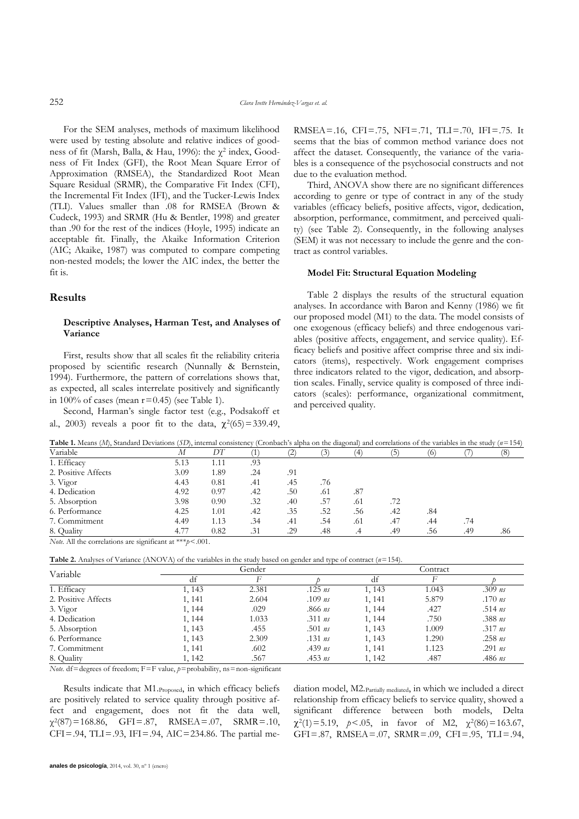For the SEM analyses, methods of maximum likelihood were used by testing absolute and relative indices of goodness of fit (Marsh, Balla, & Hau, 1996): the χ<sup>2</sup> index, Goodness of Fit Index (GFI), the Root Mean Square Error of Approximation (RMSEA), the Standardized Root Mean Square Residual (SRMR), the Comparative Fit Index (CFI), the Incremental Fit Index (IFI), and the Tucker-Lewis Index (TLI). Values smaller than .08 for RMSEA (Brown & Cudeck, 1993) and SRMR (Hu & Bentler, 1998) and greater than .90 for the rest of the indices (Hoyle, 1995) indicate an acceptable fit. Finally, the Akaike Information Criterion (AIC; Akaike, 1987) was computed to compare competing non-nested models; the lower the AIC index, the better the fit is.

## **Results**

## **Descriptive Analyses, Harman Test, and Analyses of Variance**

First, results show that all scales fit the reliability criteria proposed by scientific research (Nunnally & Bernstein, 1994). Furthermore, the pattern of correlations shows that, as expected, all scales interrelate positively and significantly in 100% of cases (mean  $r = 0.45$ ) (see Table 1).

Second, Harman's single factor test (e.g., Podsakoff et al., 2003) reveals a poor fit to the data,  $\chi^2(65) = 339.49$ ,

| RMSEA=.16, CFI=.75, NFI=.71, TLI=.70, IFI=.75. It            |
|--------------------------------------------------------------|
| seems that the bias of common method variance does not       |
| affect the dataset. Consequently, the variance of the varia- |
| bles is a consequence of the psychosocial constructs and not |
| due to the evaluation method.                                |

Third, ANOVA show there are no significant differences according to genre or type of contract in any of the study variables (efficacy beliefs, positive affects, vigor, dedication, absorption, performance, commitment, and perceived quality) (see Table 2). Consequently, in the following analyses (SEM) it was not necessary to include the genre and the contract as control variables.

### **Model Fit: Structural Equation Modeling**

Table 2 displays the results of the structural equation analyses. In accordance with Baron and Kenny (1986) we fit our proposed model (M1) to the data. The model consists of one exogenous (efficacy beliefs) and three endogenous variables (positive affects, engagement, and service quality). Efficacy beliefs and positive affect comprise three and six indicators (items), respectively. Work engagement comprises three indicators related to the vigor, dedication, and absorption scales. Finally, service quality is composed of three indicators (scales): performance, organizational commitment, and perceived quality.

| <b>Table 1.</b> Means ( <i>M</i> ), Standard Deviations ( <i>SD</i> ), internal consistency (Cronbach's alpha on the diagonal) and correlations of the variables in the study ( $n=154$ ) |      |      |     |                   |     |     |     |     |     |     |
|-------------------------------------------------------------------------------------------------------------------------------------------------------------------------------------------|------|------|-----|-------------------|-----|-----|-----|-----|-----|-----|
| Variable                                                                                                                                                                                  | М    | DΤ   |     | $\left( 2\right)$ | (3) | (4) | 'כֿ | (6) |     | (8) |
| 1. Efficacy                                                                                                                                                                               | 5.13 | 1.11 | .93 |                   |     |     |     |     |     |     |
| 2. Positive Affects                                                                                                                                                                       | 3.09 | 1.89 | .24 | .91               |     |     |     |     |     |     |
| 3. Vigor                                                                                                                                                                                  | 4.43 | 0.81 | .41 | .45               | .76 |     |     |     |     |     |
| 4. Dedication                                                                                                                                                                             | 4.92 | 0.97 | .42 | .50               | .61 | .87 |     |     |     |     |
| 5. Absorption                                                                                                                                                                             | 3.98 | 0.90 | .32 | .40               | .57 | .61 | .72 |     |     |     |
| 6. Performance                                                                                                                                                                            | 4.25 | 1.01 | .42 | .35               | .52 | .56 | .42 | .84 |     |     |
| 7. Commitment                                                                                                                                                                             | 4.49 | 1.13 | .34 | .41               | .54 | .61 | .47 | .44 | .74 |     |
| 8. Quality                                                                                                                                                                                | 4.77 | 0.82 | .31 | .29               | .48 | .4  | .49 | .56 | .49 | .86 |

*Note.* All the correlations are significant at \*\*\**p*<.001.

| <b>Table 2.</b> Analyses of Variance (ANOVA) of the variables in the study based on gender and type of contract ( $n=154$ ). |  |
|------------------------------------------------------------------------------------------------------------------------------|--|
|------------------------------------------------------------------------------------------------------------------------------|--|

| Variable            |        | Gender |           | Contract |       |           |  |
|---------------------|--------|--------|-----------|----------|-------|-----------|--|
|                     | df     |        |           | df       | E     |           |  |
| 1. Efficacy         | 1, 143 | 2.381  | $.125$ ns | 1, 143   | 1.043 | $.309$ ns |  |
| 2. Positive Affects | 1, 141 | 2.604  | $.109$ ns | 1, 141   | 5.879 | $.170$ ns |  |
| 3. Vigor            | 1, 144 | .029   | .866 ns   | 1, 144   | .427  | $.514$ ns |  |
| 4. Dedication       | 1, 144 | 1.033  | .311ns    | 1, 144   | .750  | .388 ns   |  |
| 5. Absorption       | 1, 143 | .455   | $.501$ ns | 1, 143   | 1.009 | $.317$ ns |  |
| 6. Performance      | 1, 143 | 2.309  | $.131$ ns | 1, 143   | 1.290 | $.258$ ns |  |
| 7. Commitment       | 1, 141 | .602   | .439 $ns$ | 1, 141   | 1.123 | $.291$ ns |  |
| 8. Quality          | 1, 142 | .567   | .453 $ns$ | 1, 142   | .487  | $.486$ ns |  |

*Note.* df = degrees of freedom;  $F = F$  value,  $p =$  probability, ns = non-significant

Results indicate that M1.Proposed, in which efficacy beliefs are positively related to service quality through positive affect and engagement, does not fit the data well,  $\chi^2(87) = 168.86$ , GFI=.87, RMSEA=.07, SRMR=.10, CFI=.94, TLI=.93, IFI=.94, AIC=234.86. The partial mediation model, M2.Partially mediated, in which we included a direct relationship from efficacy beliefs to service quality, showed a significant difference between both models, Delta  $\chi^2(1) = 5.19$ ,  $p < .05$ , in favor of M2,  $\chi^2(86) = 163.67$ , GFI=.87, RMSEA=.07, SRMR=.09, CFI=.95, TLI=.94,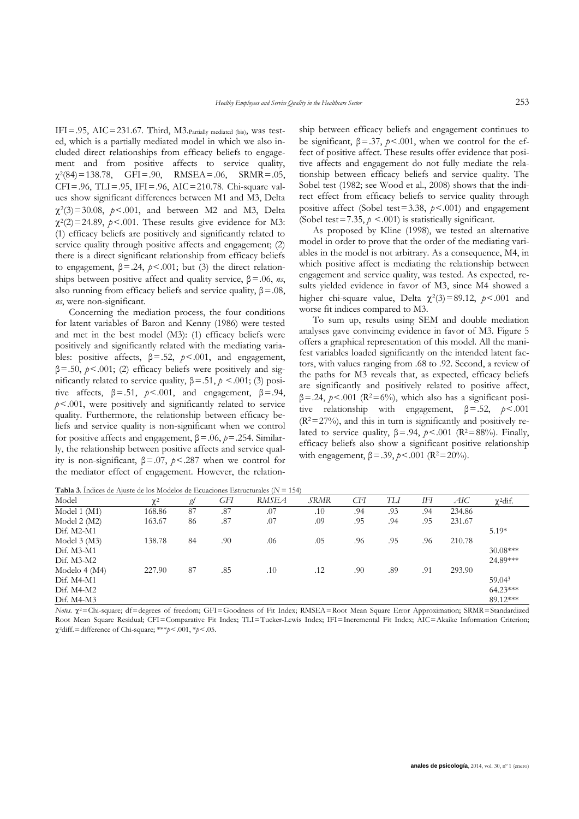IFI=.95, AIC=231.67. Third, M3. $P_{\text{artially mediated (bis)}}$ , was tested, which is a partially mediated model in which we also included direct relationships from efficacy beliefs to engagement and from positive affects to service quality,  $\chi^2(84) = 138.78$ , GFI=.90, RMSEA=.06, SRMR=.05, CFI=.96, TLI=.95, IFI=.96, AIC=210.78. Chi-square values show significant differences between M1 and M3, Delta  $\chi^2(3) = 30.08$ ,  $p < .001$ , and between M2 and M3, Delta  $\chi^2(2) = 24.89$ ,  $p < .001$ . These results give evidence for M3: (1) efficacy beliefs are positively and significantly related to service quality through positive affects and engagement; (2) there is a direct significant relationship from efficacy beliefs to engagement,  $\beta = .24$ ,  $p < .001$ ; but (3) the direct relationships between positive affect and quality service, β=.06, *ns*, also running from efficacy beliefs and service quality,  $\beta = .08$ , *ns*, were non-significant.

Concerning the mediation process, the four conditions for latent variables of Baron and Kenny (1986) were tested and met in the best model (M3): (1) efficacy beliefs were positively and significantly related with the mediating variables: positive affects,  $\beta = .52$ ,  $p < .001$ , and engagement,  $β = .50, p < .001;$  (2) efficacy beliefs were positively and significantly related to service quality,  $\beta = .51$ ,  $p < .001$ ; (3) positive affects,  $\beta = .51$ ,  $p < .001$ , and engagement,  $\beta = .94$ , *p*<.001, were positively and significantly related to service quality. Furthermore, the relationship between efficacy beliefs and service quality is non-significant when we control for positive affects and engagement, β=.06, *p*=.254. Similarly, the relationship between positive affects and service quality is non-significant, β=.07, *p*<.287 when we control for the mediator effect of engagement. However, the relationship between efficacy beliefs and engagement continues to be significant,  $\beta = .37$ ,  $p < .001$ , when we control for the effect of positive affect. These results offer evidence that positive affects and engagement do not fully mediate the relationship between efficacy beliefs and service quality. The Sobel test (1982; see Wood et al., 2008) shows that the indirect effect from efficacy beliefs to service quality through positive affect (Sobel test=3.38, *p*<.001) and engagement (Sobel test=7.35,  $p \le 0.001$ ) is statistically significant.

As proposed by Kline (1998), we tested an alternative model in order to prove that the order of the mediating variables in the model is not arbitrary. As a consequence, M4, in which positive affect is mediating the relationship between engagement and service quality, was tested. As expected, results yielded evidence in favor of M3, since M4 showed a higher chi-square value, Delta  $\chi^2(3) = 89.12$ ,  $p < .001$  and worse fit indices compared to M3.

To sum up, results using SEM and double mediation analyses gave convincing evidence in favor of M3. Figure 5 offers a graphical representation of this model. All the manifest variables loaded significantly on the intended latent factors, with values ranging from .68 to .92. Second, a review of the paths for M3 reveals that, as expected, efficacy beliefs are significantly and positively related to positive affect, β=.24, *p*<.001 (R2=6%), which also has a significant positive relationship with engagement, β=.52, *p*<.001  $(R^2=27\%)$ , and this in turn is significantly and positively related to service quality,  $\beta = .94$ ,  $p < .001$  (R<sup>2</sup>=88%). Finally, efficacy beliefs also show a significant positive relationship with engagement, β=.39, *p*<.001 (R2=20%).

**Tabla 3**. Índices de Ajuste de los Modelos de Ecuaciones Estructurales (*N* = 154)

| Model                  | $\gamma^2$ | gl | GFI | <b>RMSEA</b> | <b>SRMR</b> | СFІ | TЫ  | IFΙ | AIC    | $\chi^2$ dif. |
|------------------------|------------|----|-----|--------------|-------------|-----|-----|-----|--------|---------------|
| Model $1$ (M1)         | 168.86     | 87 | .87 | .07          | .10         | .94 | .93 | .94 | 234.86 |               |
| Model $2$ (M2)         | 163.67     | 86 | .87 | .07          | .09         | .95 | .94 | .95 | 231.67 |               |
| Dif. M2-M1             |            |    |     |              |             |     |     |     |        | $5.19*$       |
| Model $3 \text{ (M3)}$ | 138.78     | 84 | .90 | .06          | .05         | .96 | .95 | .96 | 210.78 |               |
| Dif. M3-M1             |            |    |     |              |             |     |     |     |        | $30.08***$    |
| Dif. M3-M2             |            |    |     |              |             |     |     |     |        | 24.89***      |
| Modelo 4 (M4)          | 227.90     | 87 | .85 | .10          | .12         | .90 | .89 | .91 | 293.90 |               |
| Dif. M4-M1             |            |    |     |              |             |     |     |     |        | 59.043        |
| Dif. M4-M2             |            |    |     |              |             |     |     |     |        | $64.23***$    |
| Dif. M4-M3             |            |    |     |              |             |     |     |     |        | 89.12***      |

*Notes.*  $χ²$ =Chi-square; df=degrees of freedom; GFI=Goodness of Fit Index; RMSEA=Root Mean Square Error Approximation; SRMR=Standardized Root Mean Square Residual; CFI=Comparative Fit Index; TLI=Tucker-Lewis Index; IFI=Incremental Fit Index; AIC=Akaike Information Criterion; 2diff.=difference of Chi-square; \*\*\**p*<.001, \**p*<.05.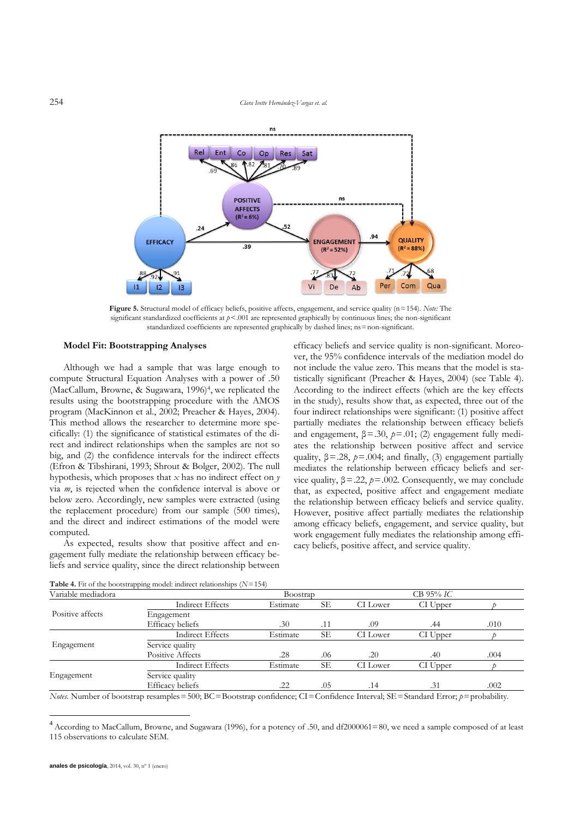

**Figure 5.** Structural model of efficacy beliefs, positive affects, engagement, and service quality (n=154). *Note:* The significant standardized coefficients at *p<*.001 are represented graphically by continuous lines; the non-significant standardized coefficients are represented graphically by dashed lines; ns=non-significant.

## **Model Fit: Bootstrapping Analyses**

Although we had a sample that was large enough to compute Structural Equation Analyses with a power of .50 (MacCallum, Browne, & Sugawara, 1996)<sup>4</sup>, we replicated the results using the bootstrapping procedure with the AMOS program (MacKinnon et al., 2002; Preacher & Hayes, 2004). This method allows the researcher to determine more specifically: (1) the significance of statistical estimates of the direct and indirect relationships when the samples are not so big, and (2) the confidence intervals for the indirect effects (Efron & Tibshirani, 1993; Shrout & Bolger, 2002). The null hypothesis, which proposes that *x* has no indirect effect on *y*  via *m*, is rejected when the confidence interval is above or below zero. Accordingly, new samples were extracted (using the replacement procedure) from our sample (500 times), and the direct and indirect estimations of the model were computed.

As expected, results show that positive affect and engagement fully mediate the relationship between efficacy beliefs and service quality, since the direct relationship between efficacy beliefs and service quality is non-significant. Moreover, the 95% confidence intervals of the mediation model do not include the value zero. This means that the model is statistically significant (Preacher & Hayes, 2004) (see Table 4). According to the indirect effects (which are the key effects in the study), results show that, as expected, three out of the four indirect relationships were significant: (1) positive affect partially mediates the relationship between efficacy beliefs and engagement,  $\beta = .30$ ,  $p = .01$ ; (2) engagement fully mediates the relationship between positive affect and service quality,  $\beta = .28$ ,  $p = .004$ ; and finally, (3) engagement partially mediates the relationship between efficacy beliefs and service quality,  $\beta = .22$ ,  $p = .002$ . Consequently, we may conclude that, as expected, positive affect and engagement mediate the relationship between efficacy beliefs and service quality. However, positive affect partially mediates the relationship among efficacy beliefs, engagement, and service quality, but work engagement fully mediates the relationship among efficacy beliefs, positive affect, and service quality.

**Table 4.** Fit of the bootstrapping model: indirect relationships (*N*=154)

| Variable mediadora | .                                          | Boostrap |     |          | $CB$ 95% $IC$ |      |
|--------------------|--------------------------------------------|----------|-----|----------|---------------|------|
|                    | <b>Indirect Effects</b>                    | Estimate | SЕ  | CI Lower | CI Upper      |      |
| Positive affects   | Engagement<br><b>Efficacy</b> beliefs      | .30      | .11 | .09      | .44           | .010 |
|                    | <b>Indirect Effects</b>                    | Estimate | SЕ  | CI Lower | CI Upper      |      |
| Engagement         | Service quality                            |          |     |          |               |      |
|                    | Positive Affects                           | .28      | .06 | $.20\,$  | .40           | .004 |
|                    | <b>Indirect Effects</b>                    | Estimate | SЕ  | CI Lower | CI Upper      |      |
| Engagement         | Service quality<br><b>Efficacy</b> beliefs | $.22\,$  | .05 | .14      | .31           | .002 |

*Notes.* Number of bootstrap resamples=500; BC=Bootstrap confidence; CI=Confidence Interval; SE=Standard Error; *p*=probability.

<sup>4</sup> According to MacCallum, Browne, and Sugawara (1996), for a potency of .50, and df2000061=80, we need a sample composed of at least 115 observations to calculate SEM.

 $\overline{a}$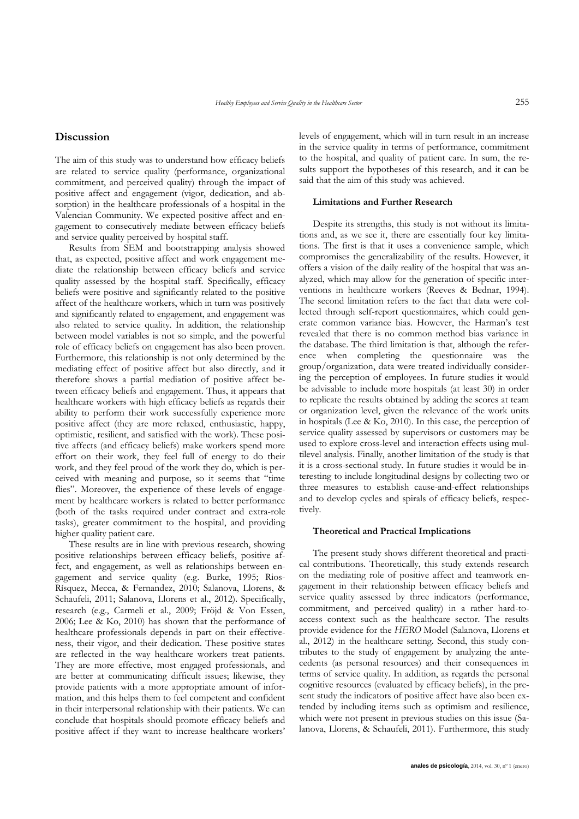## **Discussion**

The aim of this study was to understand how efficacy beliefs are related to service quality (performance, organizational commitment, and perceived quality) through the impact of positive affect and engagement (vigor, dedication, and absorption) in the healthcare professionals of a hospital in the Valencian Community. We expected positive affect and engagement to consecutively mediate between efficacy beliefs and service quality perceived by hospital staff.

Results from SEM and bootstrapping analysis showed that, as expected, positive affect and work engagement mediate the relationship between efficacy beliefs and service quality assessed by the hospital staff. Specifically, efficacy beliefs were positive and significantly related to the positive affect of the healthcare workers, which in turn was positively and significantly related to engagement, and engagement was also related to service quality. In addition, the relationship between model variables is not so simple, and the powerful role of efficacy beliefs on engagement has also been proven. Furthermore, this relationship is not only determined by the mediating effect of positive affect but also directly, and it therefore shows a partial mediation of positive affect between efficacy beliefs and engagement. Thus, it appears that healthcare workers with high efficacy beliefs as regards their ability to perform their work successfully experience more positive affect (they are more relaxed, enthusiastic, happy, optimistic, resilient, and satisfied with the work). These positive affects (and efficacy beliefs) make workers spend more effort on their work, they feel full of energy to do their work, and they feel proud of the work they do, which is perceived with meaning and purpose, so it seems that "time flies". Moreover, the experience of these levels of engagement by healthcare workers is related to better performance (both of the tasks required under contract and extra-role tasks), greater commitment to the hospital, and providing higher quality patient care.

These results are in line with previous research, showing positive relationships between efficacy beliefs, positive affect, and engagement, as well as relationships between engagement and service quality (e.g. Burke, 1995; Rios-Rísquez, Mecca, & Fernandez, 2010; Salanova, Llorens, & Schaufeli, 2011; Salanova, Llorens et al., 2012). Specifically, research (e.g., Carmeli et al., 2009; Fröjd & Von Essen, 2006; Lee & Ko, 2010) has shown that the performance of healthcare professionals depends in part on their effectiveness, their vigor, and their dedication. These positive states are reflected in the way healthcare workers treat patients. They are more effective, most engaged professionals, and are better at communicating difficult issues; likewise, they provide patients with a more appropriate amount of information, and this helps them to feel competent and confident in their interpersonal relationship with their patients. We can conclude that hospitals should promote efficacy beliefs and positive affect if they want to increase healthcare workers' levels of engagement, which will in turn result in an increase in the service quality in terms of performance, commitment to the hospital, and quality of patient care. In sum, the results support the hypotheses of this research, and it can be said that the aim of this study was achieved.

#### **Limitations and Further Research**

Despite its strengths, this study is not without its limitations and, as we see it, there are essentially four key limitations. The first is that it uses a convenience sample, which compromises the generalizability of the results. However, it offers a vision of the daily reality of the hospital that was analyzed, which may allow for the generation of specific interventions in healthcare workers (Reeves & Bednar, 1994). The second limitation refers to the fact that data were collected through self-report questionnaires, which could generate common variance bias. However, the Harman's test revealed that there is no common method bias variance in the database. The third limitation is that, although the reference when completing the questionnaire was the group/organization, data were treated individually considering the perception of employees. In future studies it would be advisable to include more hospitals (at least 30) in order to replicate the results obtained by adding the scores at team or organization level, given the relevance of the work units in hospitals (Lee & Ko, 2010). In this case, the perception of service quality assessed by supervisors or customers may be used to explore cross-level and interaction effects using multilevel analysis. Finally, another limitation of the study is that it is a cross-sectional study. In future studies it would be interesting to include longitudinal designs by collecting two or three measures to establish cause-and-effect relationships and to develop cycles and spirals of efficacy beliefs, respectively.

#### **Theoretical and Practical Implications**

The present study shows different theoretical and practical contributions. Theoretically, this study extends research on the mediating role of positive affect and teamwork engagement in their relationship between efficacy beliefs and service quality assessed by three indicators (performance, commitment, and perceived quality) in a rather hard-toaccess context such as the healthcare sector. The results provide evidence for the *HERO* Model (Salanova, Llorens et al., 2012) in the healthcare setting. Second, this study contributes to the study of engagement by analyzing the antecedents (as personal resources) and their consequences in terms of service quality. In addition, as regards the personal cognitive resources (evaluated by efficacy beliefs), in the present study the indicators of positive affect have also been extended by including items such as optimism and resilience, which were not present in previous studies on this issue (Salanova, Llorens, & Schaufeli, 2011). Furthermore, this study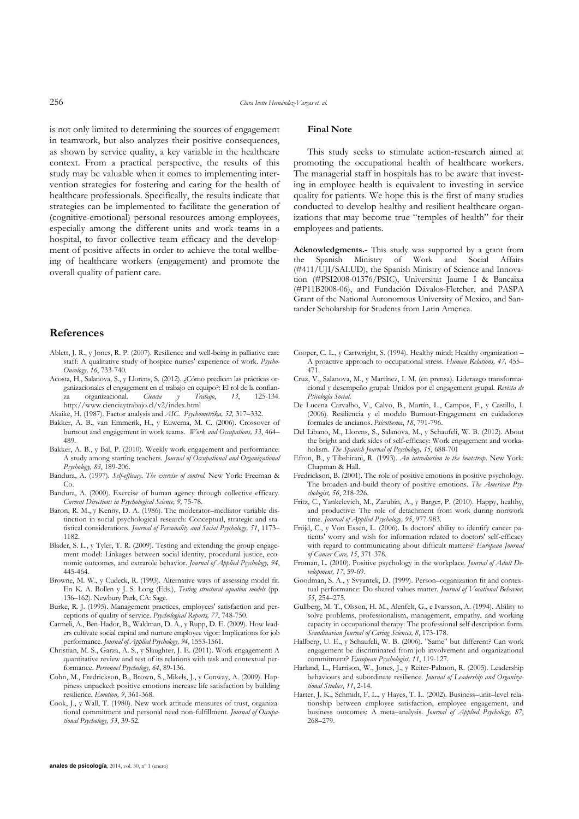256 *Clara Ivette Hernández-Vargas et. al.*

is not only limited to determining the sources of engagement in teamwork, but also analyzes their positive consequences, as shown by service quality, a key variable in the healthcare context. From a practical perspective, the results of this study may be valuable when it comes to implementing intervention strategies for fostering and caring for the health of healthcare professionals. Specifically, the results indicate that strategies can be implemented to facilitate the generation of (cognitive-emotional) personal resources among employees, especially among the different units and work teams in a hospital, to favor collective team efficacy and the development of positive affects in order to achieve the total wellbeing of healthcare workers (engagement) and promote the overall quality of patient care.

## **References**

- Ablett, J. R., y Jones, R. P. (2007). Resilience and well-being in palliative care staff: A qualitative study of hospice nurses' experience of work. *Psycho-Oncology, 16*, 733-740.
- Acosta, H., Salanova, S., y Llorens, S. (2012). ¿Cómo predicen las prácticas organizacionales el engagement en el trabajo en equipo?: El rol de la confian-<br>za organizacional. *Ciencia* y Trabajo, 13, 125-134. za organizacional. *Ciencia y Trabajo*, *13*, 125-134. http://www.cienciaytrabajo.cl/v2/index.html
- Akaike, H. (1987). Factor analysis and *AIC*. *Psychometrika, 52,* 317–332.
- Bakker, A. B., van Emmerik, H., y Euwema, M. C. (2006). Crossover of burnout and engagement in work teams. *Work and Occupations, 33*, 464– 489.
- Bakker, A. B., y Bal, P. (2010). Weekly work engagement and performance: A study among starting teachers. *Journal of Occupational and Organizational Psychology, 83*, 189-206.
- Bandura, A. (1997). *Self-efficacy. The exercise of control.* New York: Freeman & Co.
- Bandura, A. (2000). Exercise of human agency through collective efficacy. *Current Directions in Psychological Science, 9,* 75-78.
- Baron, R. M., y Kenny, D. A. (1986). The moderator–mediator variable distinction in social psychological research: Conceptual, strategic and statistical considerations. *Journal of Personality and Social Psychology, 51*, 1173– 1182.
- Blader, S. L., y Tyler, T. R. (2009). Testing and extending the group engagement model: Linkages between social identity, procedural justice, economic outcomes, and extrarole behavior. *Journal of Applied Psychology, 94*, 445-464.
- Browne, M. W., y Cudeck, R. (1993). Alternative ways of assessing model fit. En K. A. Bollen y J. S. Long (Eds.), *Testing structural equation models* (pp. 136–162). Newbury Park, CA: Sage.
- Burke, R. J. (1995). Management practices, employees' satisfaction and perceptions of quality of service. *Psychological Reports, 77*, 748-750.
- Carmeli, A., Ben-Hador, B., Waldman, D. A., y Rupp, D. E. (2009). How leaders cultivate social capital and nurture employee vigor: Implications for job performance. *Journal of Applied Psychology, 94*, 1553-1561.
- Christian, M. S., Garza, A. S., y Slaughter, J. E. (2011). Work engagement: A quantitative review and test of its relations with task and contextual performance. *Personnel Psychology, 64*, 89-136.
- Cohn, M., Fredrickson, B., Brown, S., Mikels, J., y Conway, A. (2009). Happiness unpacked: positive emotions increase life satisfaction by building resilience. *Emotion, 9*, 361-368.
- Cook, J., y Wall, T. (1980). New work attitude measures of trust, organizational commitment and personal need non-fulfillment. *Journal of Occupational Psychology, 53*, 39-52.

#### **Final Note**

This study seeks to stimulate action-research aimed at promoting the occupational health of healthcare workers. The managerial staff in hospitals has to be aware that investing in employee health is equivalent to investing in service quality for patients. We hope this is the first of many studies conducted to develop healthy and resilient healthcare organizations that may become true "temples of health" for their employees and patients.

**Acknowledgments.-** This study was supported by a grant from the Spanish Ministry of Work and Social Affairs (#411/UJI/SALUD), the Spanish Ministry of Science and Innovation (#PSI2008-01376/PSIC), Universitat Jaume I & Bancaixa (#P11B2008-06), and Fundación Dávalos-Fletcher, and PASPA Grant of the National Autonomous University of Mexico, and Santander Scholarship for Students from Latin America.

- Cooper, C. L., y Cartwright, S. (1994). Healthy mind; Healthy organization A proactive approach to occupational stress. *Human Relations, 47,* 455– 471.
- Cruz, V., Salanova, M., y Martínez, I. M. (en prensa). Liderazgo transformacional y desempeño grupal: Unidos por el engagement grupal. *Revista de Psicología Social*.
- De Lucena Carvalho, V., Calvo, B., Martín, L., Campos, F., y Castillo, I. (2006). Resiliencia y el modelo Burnout-Engagement en cuidadores formales de ancianos. *Psicothema*, *18*, 791-796.
- Del Líbano, M., Llorens, S., Salanova, M., y Schaufeli, W. B. (2012). About the bright and dark sides of self-efficacy: Work engagement and workaholism. *The Spanish Journal of Psychology, 15*, 688-701
- Efron, B., y Tibshirani, R. (1993). *An introduction to the bootstrap*. New York: Chapman & Hall.
- Fredrickson, B. (2001). The role of positive emotions in positive psychology. The broaden-and-build theory of positive emotions. *The American Psychologist, 56*, 218-226.
- Fritz, C., Yankelevich, M., Zarubin, A., y Barger, P. (2010). Happy, healthy, and productive: The role of detachment from work during nonwork time. *Journal of Applied Psychology, 95*, 977-983.
- Fröjd, C., y Von Essen, L. (2006). Is doctors' ability to identify cancer patients' worry and wish for information related to doctors' self-efficacy with regard to communicating about difficult matters? *European Journal of Cancer Care, 15*, 371-378.
- Froman, L. (2010). Positive psychology in the workplace. *Journal of Adult Development, 17*, 59-69.
- Goodman, S. A., y Svyantek, D. (1999). Person–organization fit and contextual performance: Do shared values matter. *Journal of Vocational Behavior, 55*, 254–275.
- Gullberg, M. T., Olsson, H. M., Alenfelt, G., e Ivarsson, A. (1994). Ability to solve problems, professionalism, management, empathy, and working capacity in occupational therapy: The professional self description form. *Scandinavian Journal of Caring Sciences, 8*, 173-178.
- Hallberg, U. E., y Schaufeli, W. B. (2006). "Same" but different? Can work engagement be discriminated from job involvement and organizational commitment? *European Psychologist, 11*, 119-127.
- Harland, L., Harrison, W., Jones, J., y Reiter-Palmon, R. (2005). Leadership behaviours and subordinate resilience. *Journal of Leadership and Organizational Studies*, *11*, 2-14.
- Harter, J. K., Schmidt, F. L., y Hayes, T. L. (2002). Business–unit–level relationship between employee satisfaction, employee engagement, and business outcomes: A meta–analysis. *Journal of Applied Psychology, 87*, 268–279.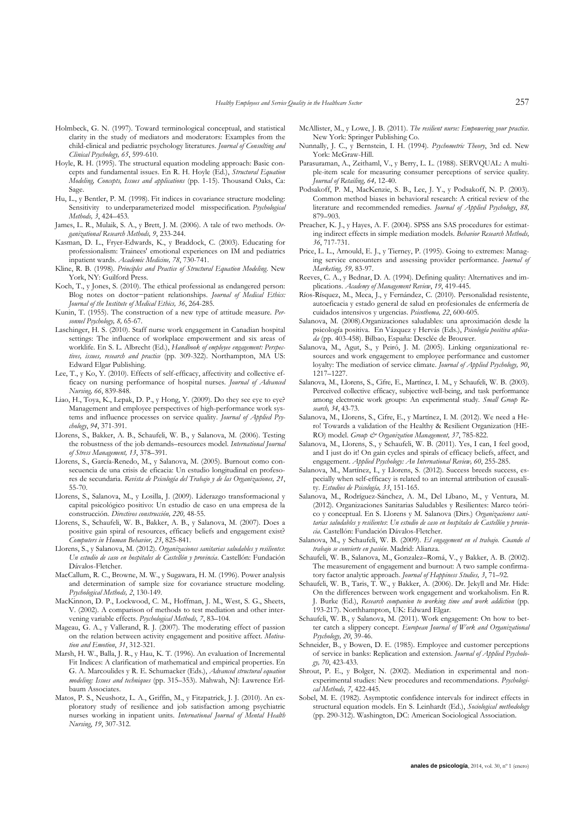- Holmbeck, G. N. (1997). Toward terminological conceptual, and statistical clarity in the study of mediators and moderators: Examples from the child-clinical and pediatric psychology literatures. *Journal of Consulting and Clinical Psychology, 65*, 599-610.
- Hoyle, R. H. (1995). The structural equation modeling approach: Basic concepts and fundamental issues. En R. H. Hoyle (Ed.), *Structural Equation Modeling, Concepts, Issues and applications* (pp. 1-15). Thousand Oaks, Ca: Sage.
- Hu, L., y Bentler, P. M. (1998). Fit indices in covariance structure modeling: Sensitivity to underparameterized model misspecification. *Psychological Methods, 3*, 424–453.
- James, L. R., Mulaik, S. A., y Brett, J. M. (2006). A tale of two methods. *Organizational Research Methods, 9*, 233-244.
- Kasman, D. L., Fryer-Edwards, K., y Braddock, C. (2003). Educating for professionalism: Trainees' emotional experiences on IM and pediatrics inpatient wards. *Academic Medicine, 78*, 730-741.
- Kline, R. B. (1998). *Principles and Practice of Structural Equation Modeling*. New York, NY: Guilford Press.
- Koch, T., y Jones, S. (2010). The ethical professional as endangered person: Blog notes on doctor−patient relationships. *Journal of Medical Ethics: Journal of the Institute of Medical Ethics, 36*, 264-285.
- Kunin, T. (1955). The construction of a new type of attitude measure. *Personnel Psychology, 8,* 65-67.
- Laschinger, H. S. (2010). Staff nurse work engagement in Canadian hospital settings: The influence of workplace empowerment and six areas of worklife. En S. L. Albrecht (Ed.), *Handbook of employee engagement: Perspectives, issues, research and practice* (pp. 309-322). Northampton, MA US: Edward Elgar Publishing.
- Lee, T., y Ko, Y. (2010). Effects of self-efficacy, affectivity and collective efficacy on nursing performance of hospital nurses. *Journal of Advanced Nursing, 66*, 839-848.
- Liao, H., Toya, K., Lepak, D. P., y Hong, Y. (2009). Do they see eye to eye? Management and employee perspectives of high-performance work systems and influence processes on service quality. *Journal of Applied Psychology*, *94*, 371-391.
- Llorens, S., Bakker, A. B., Schaufeli, W. B., y Salanova, M. (2006). Testing the robustness of the job demands–resources model. *International Journal of Stress Management, 13*, 378–391.
- Llorens, S., García-Renedo, M., y Salanova, M. (2005). Burnout como consecuencia de una crisis de eficacia: Un estudio longitudinal en profesores de secundaria. *Revista de Psicología del Trabajo y de las Organizaciones, 21*, 55-70.
- Llorens, S., Salanova, M., y Losilla, J. (2009). Liderazgo transformacional y capital psicológico positivo: Un estudio de caso en una empresa de la construcción. *Directivos construcción, 220,* 48-55.
- Llorens, S., Schaufeli, W. B., Bakker, A. B., y Salanova, M. (2007). Does a positive gain spiral of resources, efficacy beliefs and engagement exist? *Computers in Human Behavior, 23*, 825-841.
- Llorens, S., y Salanova, M. (2012). *Organizaciones sanitarias saludables y resilientes*: *Un estudio de caso en hospitales de Castellón y provincia*. Castellón: Fundación Dávalos-Fletcher.
- MacCallum, R. C., Browne, M. W., y Sugawara, H. M. (1996). Power analysis and determination of sample size for covariance structure modeling. *Psychological Methods, 2*, 130-149.
- MacKinnon, D. P., Lockwood, C. M., Hoffman, J. M., West, S. G., Sheets, V. (2002). A comparison of methods to test mediation and other intervening variable effects. *Psychological Methods, 7*, 83–104.
- Mageau, G. A., y Vallerand, R. J. (2007). The moderating effect of passion on the relation between activity engagement and positive affect. *Motivation and Emotion*, *31*, 312-321.
- Marsh, H. W., Balla, J. R., y Hau, K. T. (1996). An evaluation of Incremental Fit Indices: A clarification of mathematical and empirical properties. En G. A. Marcoulides y R. E. Schumacker (Eds.), *Advanced structural equation modeling: Issues and techniques* (pp. 315–353). Mahwah, NJ: Lawrence Erlbaum Associates.
- Matos, P. S., Neushotz, L. A., Griffin, M., y Fitzpatrick, J. J. (2010). An exploratory study of resilience and job satisfaction among psychiatric nurses working in inpatient units. *International Journal of Mental Health Nursing*, *19*, 307-312.
- McAllister, M., y Lowe, J. B. (2011). *The resilient nurse: Empowering your practice*. New York: Springer Publishing Co.
- Nunnally, J. C., y Bernstein, I. H. (1994). *Psychometric Theory*, 3rd ed. New York: McGraw-Hill.
- Parasuraman, A., Zeithaml, V., y Berry, L. L. (1988). SERVQUAL: A multiple-item scale for measuring consumer perceptions of service quality. *Journal of Retailing, 64,* 12-40.
- Podsakoff, P. M., MacKenzie, S. B., Lee, J. Y., y Podsakoff, N. P. (2003). Common method biases in behavioral research: A critical review of the literature and recommended remedies. *Journal of Applied Psychology*, *88,*  879–903*.*
- Preacher, K. J., y Hayes, A. F. (2004). SPSS ans SAS procedures for estimating indirect effects in simple mediation models. *Behavior Research Methods, 36*, 717-731.
- Price, L. L., Arnould, E. J., y Tierney, P. (1995). Going to extremes: Managing service encounters and assessing provider performance. *Journal of Marketing, 59,* 83-97.
- Reeves, C. A., y Bednar, D. A. (1994). Defining quality: Alternatives and implications. *Academy of Management Review*, *19*, 419-445.
- Ríos-Rísquez, M., Meca, J., y Fernández, C. (2010). Personalidad resistente, autoeficacia y estado general de salud en profesionales de enfermería de cuidados intensivos y urgencias. *Psicothema, 22*, 600-605.
- Salanova, M. (2008).Organizaciones saludables: una aproximación desde la psicología positiva. En Vázquez y Hervás (Eds.), *Psicología positiva aplicada* (pp. 403-458). Bilbao, España: Desclée de Brouwer.
- Salanova, M., Agut, S., y Peiró, J. M. (2005). Linking organizational resources and work engagement to employee performance and customer loyalty: The mediation of service climate. *Journal of Applied Psychology, 90*, 1217–1227.
- Salanova, M., Llorens, S., Cifre, E., Martínez, I. M., y Schaufeli, W. B. (2003). Perceived collective efficacy, subjective well-being, and task performance among electronic work groups: An experimental study. *Small Group Research, 34*, 43-73.
- Salanova, M., Llorens, S., Cifre, E., y Martínez, I. M. (2012). We need a Hero! Towards a validation of the Healthy & Resilient Organization (HE-RO) model. *Group & Organization Management, 37*, 785-822.
- Salanova, M., Llorens, S., y Schaufeli, W. B. (2011). Yes, I can, I feel good, and I just do it! On gain cycles and spirals of efficacy beliefs, affect, and engagement. *Applied Psychology: An International Review, 60*, 255-285.
- Salanova, M., Martínez, I., y Llorens, S. (2012). Success breeds success, especially when self-efficacy is related to an internal attribution of causality. *Estudios de Psicología, 33*, 151-165.
- Salanova, M., Rodríguez-Sánchez, A. M., Del Líbano, M., y Ventura, M. (2012). Organizaciones Sanitarias Saludables y Resilientes: Marco teórico y conceptual. En S. Llorens y M. Salanova (Dirs.) *Organizaciones sanitarias saludables y resilientes*: *Un estudio de caso en hospitales de Castellón y provincia*. Castellón: Fundación Dávalos-Fletcher.
- Salanova, M., y Schaufeli, W. B. (2009). *El engagement en el trabajo. Cuando el trabajo se convierte en pasión*. Madrid: Alianza.
- Schaufeli, W. B., Salanova, M., Gonzalez–Romá, V., y Bakker, A. B. (2002). The measurement of engagement and burnout: A two sample confirmatory factor analytic approach. *Journal of Happiness Studies, 3*, 71–92.
- Schaufeli, W. B., Taris, T. W., y Bakker, A. (2006). Dr. Jekyll and Mr. Hide: On the differences between work engagement and workaholism. En R. J. Burke (Ed.), *Research companion to working time and work addiction* (pp. 193-217). Northhampton, UK: Edward Elgar.
- Schaufeli, W. B., y Salanova, M. (2011). Work engagement: On how to better catch a slippery concept. *European Journal of Work and Organizational Psychology, 20*, 39-46.
- Schneider, B., y Bowen, D. E. (1985). Employee and customer perceptions of service in banks: Replication and extension. *Journal of Applied Psychology, 70*, 423-433.
- Shrout, P. E., y Bolger, N. (2002). Mediation in experimental and nonexperimental studies: New procedures and recommendations. *Psychological Methods, 7*, 422-445.
- Sobel, M. E. (1982). Asymptotic confidence intervals for indirect effects in structural equation models. En S. Leinhardt (Ed.), *Sociological methodology* (pp. 290-312). Washington, DC: American Sociological Association.